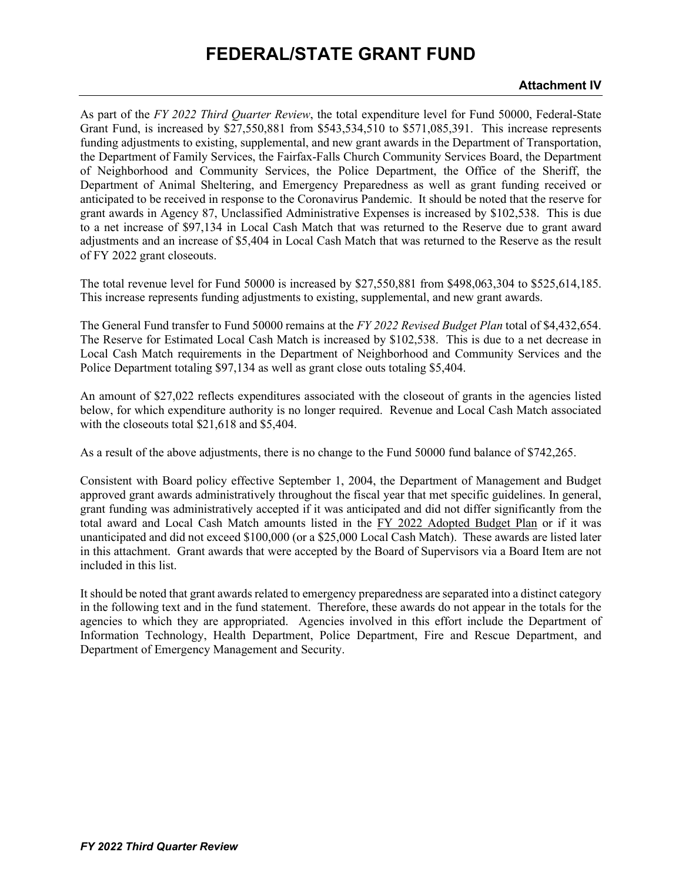As part of the *FY 2022 Third Quarter Review*, the total expenditure level for Fund 50000, Federal-State Grant Fund, is increased by \$27,550,881 from \$543,534,510 to \$571,085,391. This increase represents funding adjustments to existing, supplemental, and new grant awards in the Department of Transportation, the Department of Family Services, the Fairfax-Falls Church Community Services Board, the Department of Neighborhood and Community Services, the Police Department, the Office of the Sheriff, the Department of Animal Sheltering, and Emergency Preparedness as well as grant funding received or anticipated to be received in response to the Coronavirus Pandemic. It should be noted that the reserve for grant awards in Agency 87, Unclassified Administrative Expenses is increased by \$102,538. This is due to a net increase of \$97,134 in Local Cash Match that was returned to the Reserve due to grant award adjustments and an increase of \$5,404 in Local Cash Match that was returned to the Reserve as the result of FY 2022 grant closeouts.

The total revenue level for Fund 50000 is increased by \$27,550,881 from \$498,063,304 to \$525,614,185. This increase represents funding adjustments to existing, supplemental, and new grant awards.

The General Fund transfer to Fund 50000 remains at the *FY 2022 Revised Budget Plan* total of \$4,432,654. The Reserve for Estimated Local Cash Match is increased by \$102,538. This is due to a net decrease in Local Cash Match requirements in the Department of Neighborhood and Community Services and the Police Department totaling \$97,134 as well as grant close outs totaling \$5,404.

An amount of \$27,022 reflects expenditures associated with the closeout of grants in the agencies listed below, for which expenditure authority is no longer required. Revenue and Local Cash Match associated with the closeouts total \$21,618 and \$5,404.

As a result of the above adjustments, there is no change to the Fund 50000 fund balance of \$742,265.

Consistent with Board policy effective September 1, 2004, the Department of Management and Budget approved grant awards administratively throughout the fiscal year that met specific guidelines. In general, grant funding was administratively accepted if it was anticipated and did not differ significantly from the total award and Local Cash Match amounts listed in the FY 2022 Adopted Budget Plan or if it was unanticipated and did not exceed \$100,000 (or a \$25,000 Local Cash Match). These awards are listed later in this attachment. Grant awards that were accepted by the Board of Supervisors via a Board Item are not included in this list.

It should be noted that grant awards related to emergency preparedness are separated into a distinct category in the following text and in the fund statement. Therefore, these awards do not appear in the totals for the agencies to which they are appropriated. Agencies involved in this effort include the Department of Information Technology, Health Department, Police Department, Fire and Rescue Department, and Department of Emergency Management and Security.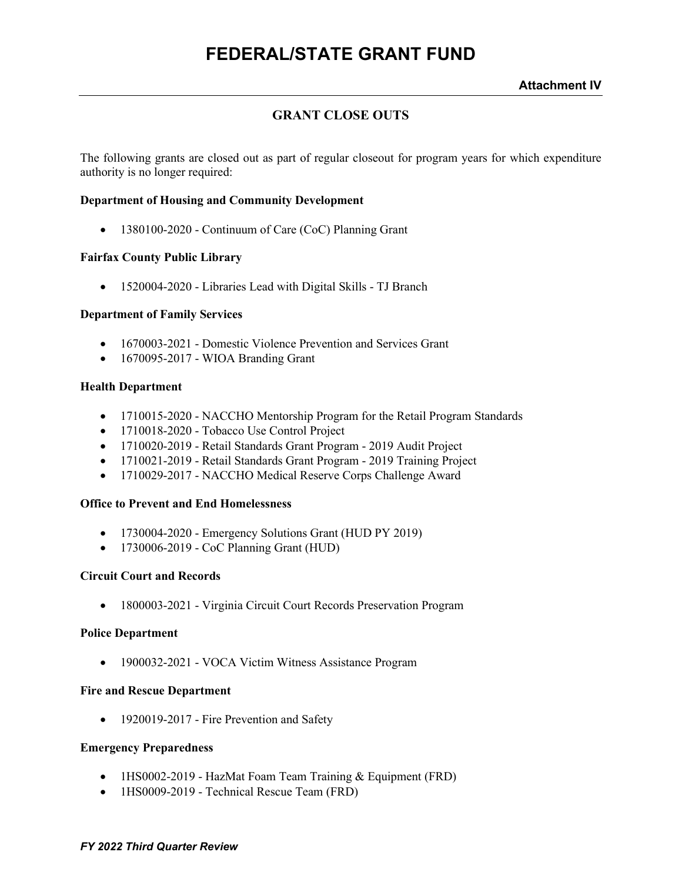### **GRANT CLOSE OUTS**

The following grants are closed out as part of regular closeout for program years for which expenditure authority is no longer required:

#### **Department of Housing and Community Development**

• 1380100-2020 - Continuum of Care (CoC) Planning Grant

### **Fairfax County Public Library**

• 1520004-2020 - Libraries Lead with Digital Skills - TJ Branch

#### **Department of Family Services**

- 1670003-2021 Domestic Violence Prevention and Services Grant
- 1670095-2017 WIOA Branding Grant

#### **Health Department**

- 1710015-2020 NACCHO Mentorship Program for the Retail Program Standards
- 1710018-2020 Tobacco Use Control Project
- 1710020-2019 Retail Standards Grant Program 2019 Audit Project
- 1710021-2019 Retail Standards Grant Program 2019 Training Project
- 1710029-2017 NACCHO Medical Reserve Corps Challenge Award

#### **Office to Prevent and End Homelessness**

- 1730004-2020 Emergency Solutions Grant (HUD PY 2019)
- 1730006-2019 CoC Planning Grant (HUD)

#### **Circuit Court and Records**

• 1800003-2021 - Virginia Circuit Court Records Preservation Program

#### **Police Department**

• 1900032-2021 - VOCA Victim Witness Assistance Program

#### **Fire and Rescue Department**

• 1920019-2017 - Fire Prevention and Safety

#### **Emergency Preparedness**

- 1HS0002-2019 HazMat Foam Team Training & Equipment (FRD)
- 1HS0009-2019 Technical Rescue Team (FRD)

#### *FY 2022 Third Quarter Review*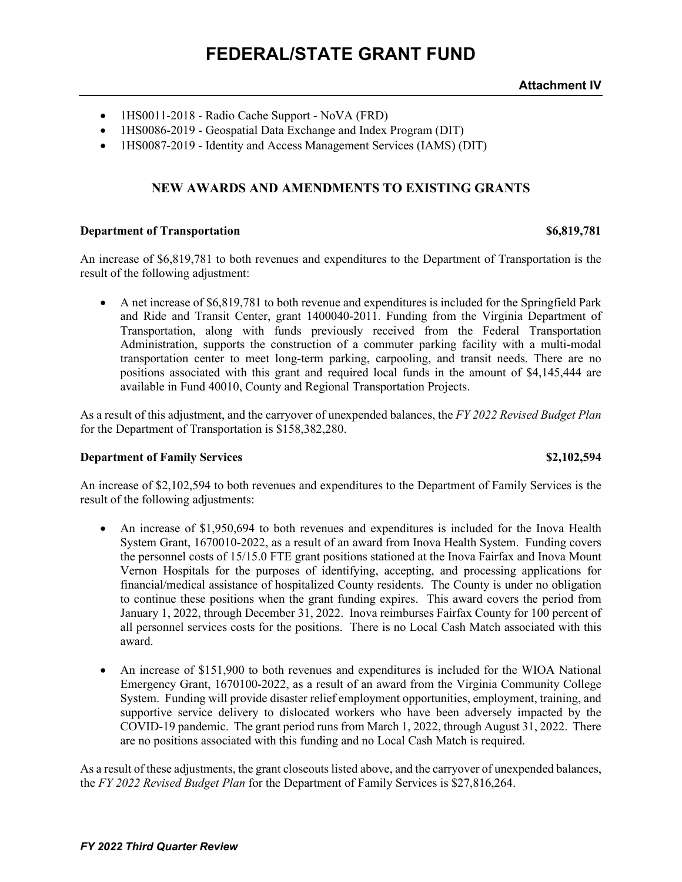- 1HS0011-2018 Radio Cache Support NoVA (FRD)
- 1HS0086-2019 Geospatial Data Exchange and Index Program (DIT)
- 1HS0087-2019 Identity and Access Management Services (IAMS) (DIT)

### **NEW AWARDS AND AMENDMENTS TO EXISTING GRANTS**

#### **Department of Transportation \$6,819,781**

An increase of \$6,819,781 to both revenues and expenditures to the Department of Transportation is the result of the following adjustment:

• A net increase of \$6,819,781 to both revenue and expenditures is included for the Springfield Park and Ride and Transit Center, grant 1400040-2011. Funding from the Virginia Department of Transportation, along with funds previously received from the Federal Transportation Administration, supports the construction of a commuter parking facility with a multi-modal transportation center to meet long-term parking, carpooling, and transit needs. There are no positions associated with this grant and required local funds in the amount of \$4,145,444 are available in Fund 40010, County and Regional Transportation Projects.

As a result of this adjustment, and the carryover of unexpended balances, the *FY 2022 Revised Budget Plan* for the Department of Transportation is \$158,382,280.

#### **Department of Family Services by S2,102,594**

An increase of \$2,102,594 to both revenues and expenditures to the Department of Family Services is the result of the following adjustments:

- An increase of \$1,950,694 to both revenues and expenditures is included for the Inova Health System Grant, 1670010-2022, as a result of an award from Inova Health System. Funding covers the personnel costs of 15/15.0 FTE grant positions stationed at the Inova Fairfax and Inova Mount Vernon Hospitals for the purposes of identifying, accepting, and processing applications for financial/medical assistance of hospitalized County residents. The County is under no obligation to continue these positions when the grant funding expires. This award covers the period from January 1, 2022, through December 31, 2022. Inova reimburses Fairfax County for 100 percent of all personnel services costs for the positions. There is no Local Cash Match associated with this award.
- An increase of \$151,900 to both revenues and expenditures is included for the WIOA National Emergency Grant, 1670100-2022, as a result of an award from the Virginia Community College System. Funding will provide disaster relief employment opportunities, employment, training, and supportive service delivery to dislocated workers who have been adversely impacted by the COVID-19 pandemic. The grant period runs from March 1, 2022, through August 31, 2022. There are no positions associated with this funding and no Local Cash Match is required.

As a result of these adjustments, the grant closeouts listed above, and the carryover of unexpended balances, the *FY 2022 Revised Budget Plan* for the Department of Family Services is \$27,816,264.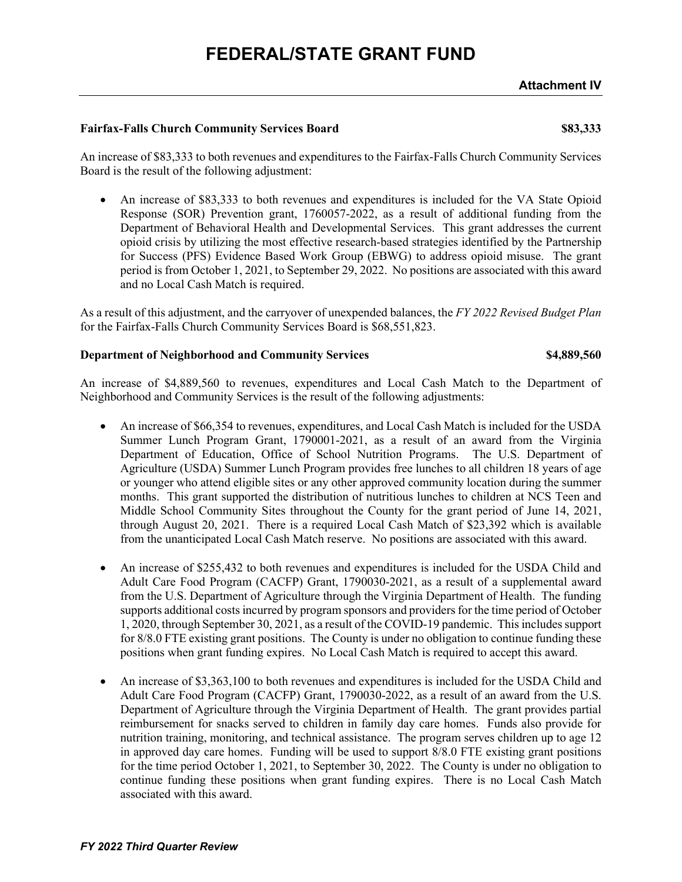#### **Fairfax-Falls Church Community Services Board \$83,333**

An increase of \$83,333 to both revenues and expenditures to the Fairfax-Falls Church Community Services Board is the result of the following adjustment:

• An increase of \$83,333 to both revenues and expenditures is included for the VA State Opioid Response (SOR) Prevention grant, 1760057-2022, as a result of additional funding from the Department of Behavioral Health and Developmental Services. This grant addresses the current opioid crisis by utilizing the most effective research-based strategies identified by the Partnership for Success (PFS) Evidence Based Work Group (EBWG) to address opioid misuse. The grant period is from October 1, 2021, to September 29, 2022. No positions are associated with this award and no Local Cash Match is required.

As a result of this adjustment, and the carryover of unexpended balances, the *FY 2022 Revised Budget Plan* for the Fairfax-Falls Church Community Services Board is \$68,551,823.

### **Department of Neighborhood and Community Services \$4,889,560**

An increase of \$4,889,560 to revenues, expenditures and Local Cash Match to the Department of Neighborhood and Community Services is the result of the following adjustments:

- An increase of \$66,354 to revenues, expenditures, and Local Cash Match is included for the USDA Summer Lunch Program Grant, 1790001-2021, as a result of an award from the Virginia Department of Education, Office of School Nutrition Programs. The U.S. Department of Agriculture (USDA) Summer Lunch Program provides free lunches to all children 18 years of age or younger who attend eligible sites or any other approved community location during the summer months. This grant supported the distribution of nutritious lunches to children at NCS Teen and Middle School Community Sites throughout the County for the grant period of June 14, 2021, through August 20, 2021. There is a required Local Cash Match of \$23,392 which is available from the unanticipated Local Cash Match reserve. No positions are associated with this award.
- An increase of \$255,432 to both revenues and expenditures is included for the USDA Child and Adult Care Food Program (CACFP) Grant, 1790030-2021, as a result of a supplemental award from the U.S. Department of Agriculture through the Virginia Department of Health. The funding supports additional costs incurred by program sponsors and providers for the time period of October 1, 2020, through September 30, 2021, as a result of the COVID-19 pandemic. This includes support for 8/8.0 FTE existing grant positions. The County is under no obligation to continue funding these positions when grant funding expires. No Local Cash Match is required to accept this award.
- An increase of \$3,363,100 to both revenues and expenditures is included for the USDA Child and Adult Care Food Program (CACFP) Grant, 1790030-2022, as a result of an award from the U.S. Department of Agriculture through the Virginia Department of Health. The grant provides partial reimbursement for snacks served to children in family day care homes. Funds also provide for nutrition training, monitoring, and technical assistance. The program serves children up to age 12 in approved day care homes. Funding will be used to support 8/8.0 FTE existing grant positions for the time period October 1, 2021, to September 30, 2022. The County is under no obligation to continue funding these positions when grant funding expires. There is no Local Cash Match associated with this award.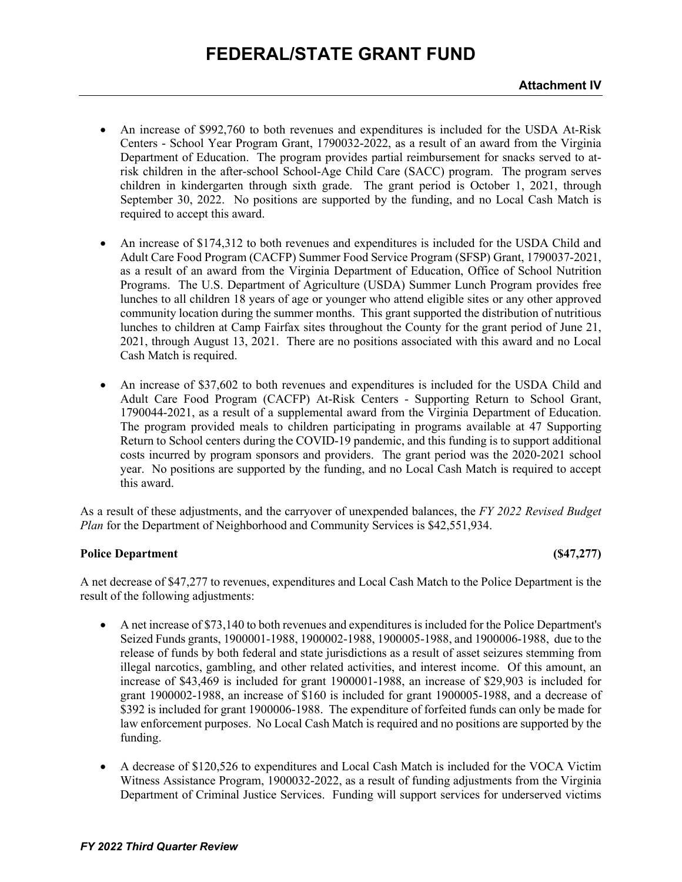- An increase of \$992,760 to both revenues and expenditures is included for the USDA At-Risk Centers - School Year Program Grant, 1790032-2022, as a result of an award from the Virginia Department of Education. The program provides partial reimbursement for snacks served to atrisk children in the after-school School-Age Child Care (SACC) program. The program serves children in kindergarten through sixth grade. The grant period is October 1, 2021, through September 30, 2022. No positions are supported by the funding, and no Local Cash Match is required to accept this award.
- An increase of \$174,312 to both revenues and expenditures is included for the USDA Child and Adult Care Food Program (CACFP) Summer Food Service Program (SFSP) Grant, 1790037-2021, as a result of an award from the Virginia Department of Education, Office of School Nutrition Programs. The U.S. Department of Agriculture (USDA) Summer Lunch Program provides free lunches to all children 18 years of age or younger who attend eligible sites or any other approved community location during the summer months. This grant supported the distribution of nutritious lunches to children at Camp Fairfax sites throughout the County for the grant period of June 21, 2021, through August 13, 2021. There are no positions associated with this award and no Local Cash Match is required.
- An increase of \$37,602 to both revenues and expenditures is included for the USDA Child and Adult Care Food Program (CACFP) At-Risk Centers - Supporting Return to School Grant, 1790044-2021, as a result of a supplemental award from the Virginia Department of Education. The program provided meals to children participating in programs available at 47 Supporting Return to School centers during the COVID-19 pandemic, and this funding is to support additional costs incurred by program sponsors and providers. The grant period was the 2020-2021 school year. No positions are supported by the funding, and no Local Cash Match is required to accept this award.

As a result of these adjustments, and the carryover of unexpended balances, the *FY 2022 Revised Budget Plan* for the Department of Neighborhood and Community Services is \$42,551,934.

### **Police Department (\$47,277) (\$47,277)**

A net decrease of \$47,277 to revenues, expenditures and Local Cash Match to the Police Department is the result of the following adjustments:

- A net increase of \$73,140 to both revenues and expenditures is included for the Police Department's Seized Funds grants, 1900001-1988, 1900002-1988, 1900005-1988, and 1900006-1988, due to the release of funds by both federal and state jurisdictions as a result of asset seizures stemming from illegal narcotics, gambling, and other related activities, and interest income. Of this amount, an increase of \$43,469 is included for grant 1900001-1988, an increase of \$29,903 is included for grant 1900002-1988, an increase of \$160 is included for grant 1900005-1988, and a decrease of \$392 is included for grant 1900006-1988. The expenditure of forfeited funds can only be made for law enforcement purposes. No Local Cash Match is required and no positions are supported by the funding.
- A decrease of \$120,526 to expenditures and Local Cash Match is included for the VOCA Victim Witness Assistance Program, 1900032-2022, as a result of funding adjustments from the Virginia Department of Criminal Justice Services. Funding will support services for underserved victims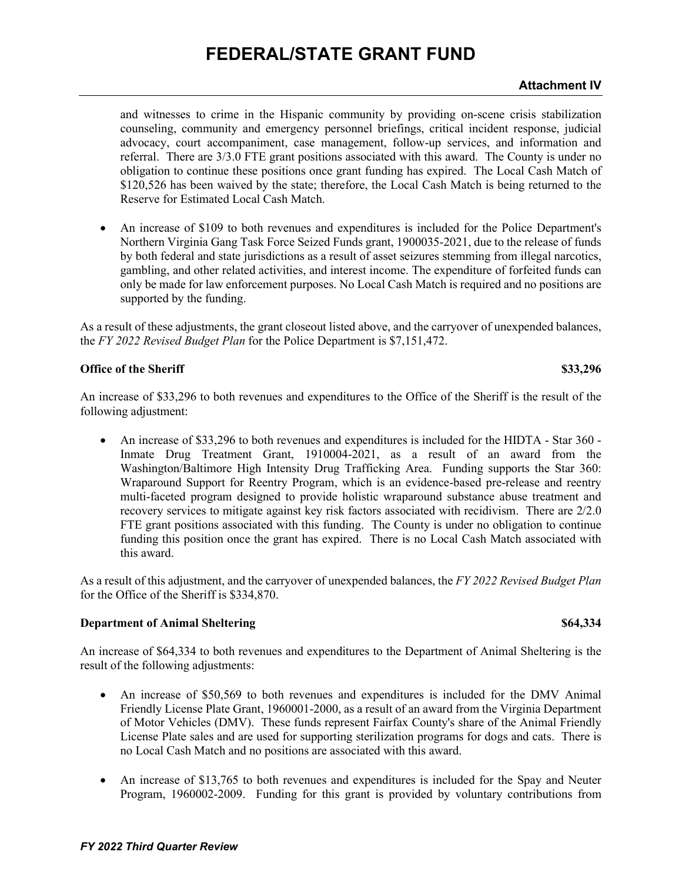### **Attachment IV**

and witnesses to crime in the Hispanic community by providing on-scene crisis stabilization counseling, community and emergency personnel briefings, critical incident response, judicial advocacy, court accompaniment, case management, follow-up services, and information and referral. There are 3/3.0 FTE grant positions associated with this award. The County is under no obligation to continue these positions once grant funding has expired. The Local Cash Match of \$120,526 has been waived by the state; therefore, the Local Cash Match is being returned to the Reserve for Estimated Local Cash Match.

• An increase of \$109 to both revenues and expenditures is included for the Police Department's Northern Virginia Gang Task Force Seized Funds grant, 1900035-2021, due to the release of funds by both federal and state jurisdictions as a result of asset seizures stemming from illegal narcotics, gambling, and other related activities, and interest income. The expenditure of forfeited funds can only be made for law enforcement purposes. No Local Cash Match is required and no positions are supported by the funding.

As a result of these adjustments, the grant closeout listed above, and the carryover of unexpended balances, the *FY 2022 Revised Budget Plan* for the Police Department is \$7,151,472.

#### **Office of the Sheriff \$33,296**

An increase of \$33,296 to both revenues and expenditures to the Office of the Sheriff is the result of the following adjustment:

• An increase of \$33,296 to both revenues and expenditures is included for the HIDTA - Star 360 -Inmate Drug Treatment Grant, 1910004-2021, as a result of an award from the Washington/Baltimore High Intensity Drug Trafficking Area. Funding supports the Star 360: Wraparound Support for Reentry Program, which is an evidence-based pre-release and reentry multi-faceted program designed to provide holistic wraparound substance abuse treatment and recovery services to mitigate against key risk factors associated with recidivism. There are 2/2.0 FTE grant positions associated with this funding. The County is under no obligation to continue funding this position once the grant has expired. There is no Local Cash Match associated with this award.

As a result of this adjustment, and the carryover of unexpended balances, the *FY 2022 Revised Budget Plan* for the Office of the Sheriff is \$334,870.

#### **Department of Animal Sheltering**   $\begin{array}{c} 864,334 \end{array}$

An increase of \$64,334 to both revenues and expenditures to the Department of Animal Sheltering is the result of the following adjustments:

- An increase of \$50,569 to both revenues and expenditures is included for the DMV Animal Friendly License Plate Grant, 1960001-2000, as a result of an award from the Virginia Department of Motor Vehicles (DMV). These funds represent Fairfax County's share of the Animal Friendly License Plate sales and are used for supporting sterilization programs for dogs and cats. There is no Local Cash Match and no positions are associated with this award.
- An increase of \$13,765 to both revenues and expenditures is included for the Spay and Neuter Program, 1960002-2009. Funding for this grant is provided by voluntary contributions from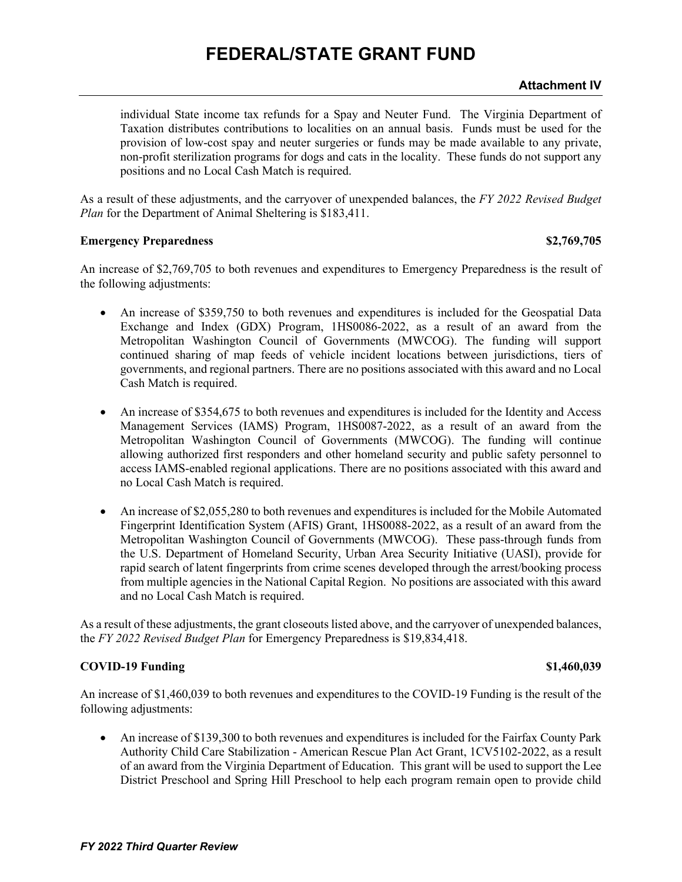#### **Attachment IV**

individual State income tax refunds for a Spay and Neuter Fund. The Virginia Department of Taxation distributes contributions to localities on an annual basis. Funds must be used for the provision of low-cost spay and neuter surgeries or funds may be made available to any private, non-profit sterilization programs for dogs and cats in the locality. These funds do not support any positions and no Local Cash Match is required.

As a result of these adjustments, and the carryover of unexpended balances, the *FY 2022 Revised Budget Plan* for the Department of Animal Sheltering is \$183,411.

#### **Emergency Preparedness \$2,769,705**

An increase of \$2,769,705 to both revenues and expenditures to Emergency Preparedness is the result of the following adjustments:

- An increase of \$359,750 to both revenues and expenditures is included for the Geospatial Data Exchange and Index (GDX) Program, 1HS0086-2022, as a result of an award from the Metropolitan Washington Council of Governments (MWCOG). The funding will support continued sharing of map feeds of vehicle incident locations between jurisdictions, tiers of governments, and regional partners. There are no positions associated with this award and no Local Cash Match is required.
- An increase of \$354,675 to both revenues and expenditures is included for the Identity and Access Management Services (IAMS) Program, 1HS0087-2022, as a result of an award from the Metropolitan Washington Council of Governments (MWCOG). The funding will continue allowing authorized first responders and other homeland security and public safety personnel to access IAMS-enabled regional applications. There are no positions associated with this award and no Local Cash Match is required.
- An increase of \$2,055,280 to both revenues and expenditures is included for the Mobile Automated Fingerprint Identification System (AFIS) Grant, 1HS0088-2022, as a result of an award from the Metropolitan Washington Council of Governments (MWCOG). These pass-through funds from the U.S. Department of Homeland Security, Urban Area Security Initiative (UASI), provide for rapid search of latent fingerprints from crime scenes developed through the arrest/booking process from multiple agencies in the National Capital Region. No positions are associated with this award and no Local Cash Match is required.

As a result of these adjustments, the grant closeouts listed above, and the carryover of unexpended balances, the *FY 2022 Revised Budget Plan* for Emergency Preparedness is \$19,834,418.

### **COVID-19 Funding \$1,460,039**

An increase of \$1,460,039 to both revenues and expenditures to the COVID-19 Funding is the result of the following adjustments:

• An increase of \$139,300 to both revenues and expenditures is included for the Fairfax County Park Authority Child Care Stabilization - American Rescue Plan Act Grant, 1CV5102-2022, as a result of an award from the Virginia Department of Education. This grant will be used to support the Lee District Preschool and Spring Hill Preschool to help each program remain open to provide child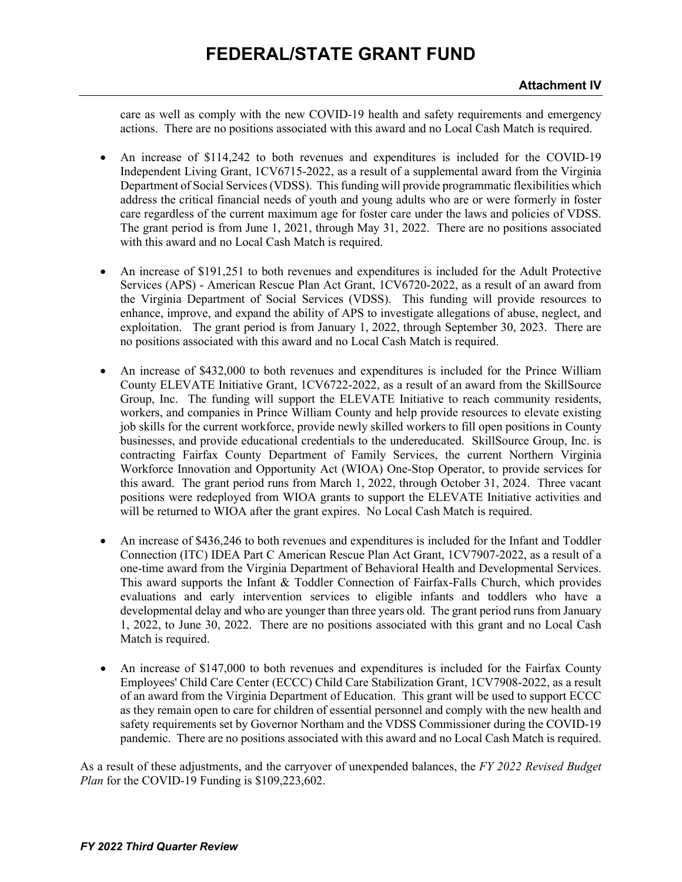care as well as comply with the new COVID-19 health and safety requirements and emergency actions. There are no positions associated with this award and no Local Cash Match is required.

- An increase of \$114,242 to both revenues and expenditures is included for the COVID-19 Independent Living Grant, 1CV6715-2022, as a result of a supplemental award from the Virginia Department of Social Services (VDSS). This funding will provide programmatic flexibilities which address the critical financial needs of youth and young adults who are or were formerly in foster care regardless of the current maximum age for foster care under the laws and policies of VDSS. The grant period is from June 1, 2021, through May 31, 2022. There are no positions associated with this award and no Local Cash Match is required.
- An increase of \$191,251 to both revenues and expenditures is included for the Adult Protective Services (APS) - American Rescue Plan Act Grant, 1CV6720-2022, as a result of an award from the Virginia Department of Social Services (VDSS). This funding will provide resources to enhance, improve, and expand the ability of APS to investigate allegations of abuse, neglect, and exploitation. The grant period is from January 1, 2022, through September 30, 2023. There are no positions associated with this award and no Local Cash Match is required.
- An increase of \$432,000 to both revenues and expenditures is included for the Prince William County ELEVATE Initiative Grant, 1CV6722-2022, as a result of an award from the SkillSource Group, Inc. The funding will support the ELEVATE Initiative to reach community residents, workers, and companies in Prince William County and help provide resources to elevate existing job skills for the current workforce, provide newly skilled workers to fill open positions in County businesses, and provide educational credentials to the undereducated. SkillSource Group, Inc. is contracting Fairfax County Department of Family Services, the current Northern Virginia Workforce Innovation and Opportunity Act (WIOA) One-Stop Operator, to provide services for this award. The grant period runs from March 1, 2022, through October 31, 2024. Three vacant positions were redeployed from WIOA grants to support the ELEVATE Initiative activities and will be returned to WIOA after the grant expires. No Local Cash Match is required.
- An increase of \$436,246 to both revenues and expenditures is included for the Infant and Toddler Connection (ITC) IDEA Part C American Rescue Plan Act Grant, 1CV7907-2022, as a result of a one-time award from the Virginia Department of Behavioral Health and Developmental Services. This award supports the Infant & Toddler Connection of Fairfax-Falls Church, which provides evaluations and early intervention services to eligible infants and toddlers who have a developmental delay and who are younger than three years old. The grant period runs from January 1, 2022, to June 30, 2022. There are no positions associated with this grant and no Local Cash Match is required.
- An increase of \$147,000 to both revenues and expenditures is included for the Fairfax County Employees' Child Care Center (ECCC) Child Care Stabilization Grant, 1CV7908-2022, as a result of an award from the Virginia Department of Education. This grant will be used to support ECCC as they remain open to care for children of essential personnel and comply with the new health and safety requirements set by Governor Northam and the VDSS Commissioner during the COVID-19 pandemic. There are no positions associated with this award and no Local Cash Match is required.

As a result of these adjustments, and the carryover of unexpended balances, the *FY 2022 Revised Budget Plan* for the COVID-19 Funding is \$109,223,602.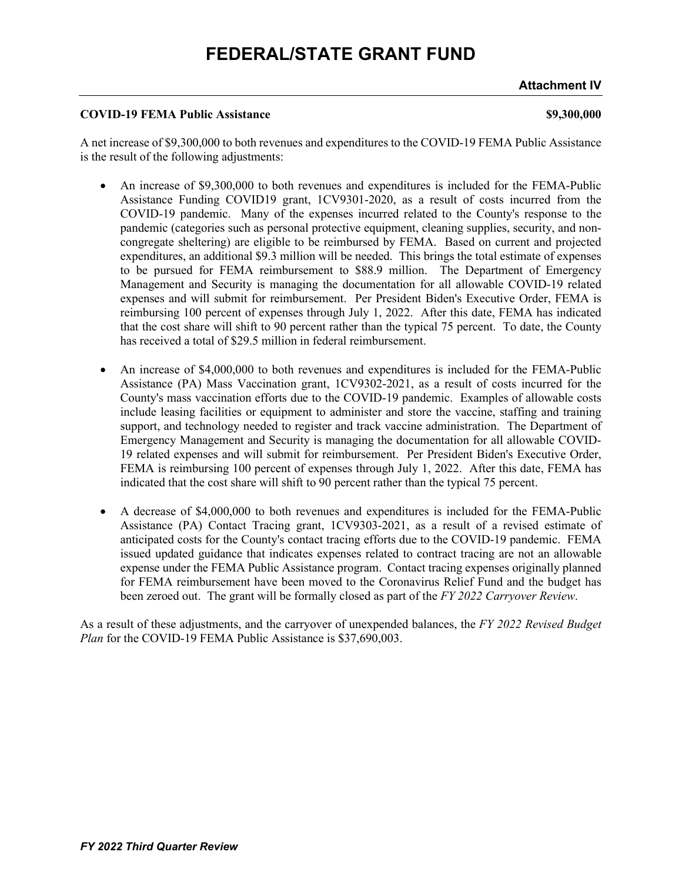**Attachment IV**

#### **COVID-19 FEMA Public Assistance \$9,300,000**

A net increase of \$9,300,000 to both revenues and expenditures to the COVID-19 FEMA Public Assistance is the result of the following adjustments:

- An increase of \$9,300,000 to both revenues and expenditures is included for the FEMA-Public Assistance Funding COVID19 grant, 1CV9301-2020, as a result of costs incurred from the COVID-19 pandemic. Many of the expenses incurred related to the County's response to the pandemic (categories such as personal protective equipment, cleaning supplies, security, and noncongregate sheltering) are eligible to be reimbursed by FEMA. Based on current and projected expenditures, an additional \$9.3 million will be needed. This brings the total estimate of expenses to be pursued for FEMA reimbursement to \$88.9 million. The Department of Emergency Management and Security is managing the documentation for all allowable COVID-19 related expenses and will submit for reimbursement. Per President Biden's Executive Order, FEMA is reimbursing 100 percent of expenses through July 1, 2022. After this date, FEMA has indicated that the cost share will shift to 90 percent rather than the typical 75 percent. To date, the County has received a total of \$29.5 million in federal reimbursement.
- An increase of \$4,000,000 to both revenues and expenditures is included for the FEMA-Public Assistance (PA) Mass Vaccination grant, 1CV9302-2021, as a result of costs incurred for the County's mass vaccination efforts due to the COVID-19 pandemic. Examples of allowable costs include leasing facilities or equipment to administer and store the vaccine, staffing and training support, and technology needed to register and track vaccine administration. The Department of Emergency Management and Security is managing the documentation for all allowable COVID-19 related expenses and will submit for reimbursement. Per President Biden's Executive Order, FEMA is reimbursing 100 percent of expenses through July 1, 2022. After this date, FEMA has indicated that the cost share will shift to 90 percent rather than the typical 75 percent.
- A decrease of \$4,000,000 to both revenues and expenditures is included for the FEMA-Public Assistance (PA) Contact Tracing grant, 1CV9303-2021, as a result of a revised estimate of anticipated costs for the County's contact tracing efforts due to the COVID-19 pandemic. FEMA issued updated guidance that indicates expenses related to contract tracing are not an allowable expense under the FEMA Public Assistance program. Contact tracing expenses originally planned for FEMA reimbursement have been moved to the Coronavirus Relief Fund and the budget has been zeroed out. The grant will be formally closed as part of the *FY 2022 Carryover Review*.

As a result of these adjustments, and the carryover of unexpended balances, the *FY 2022 Revised Budget Plan* for the COVID-19 FEMA Public Assistance is \$37,690,003.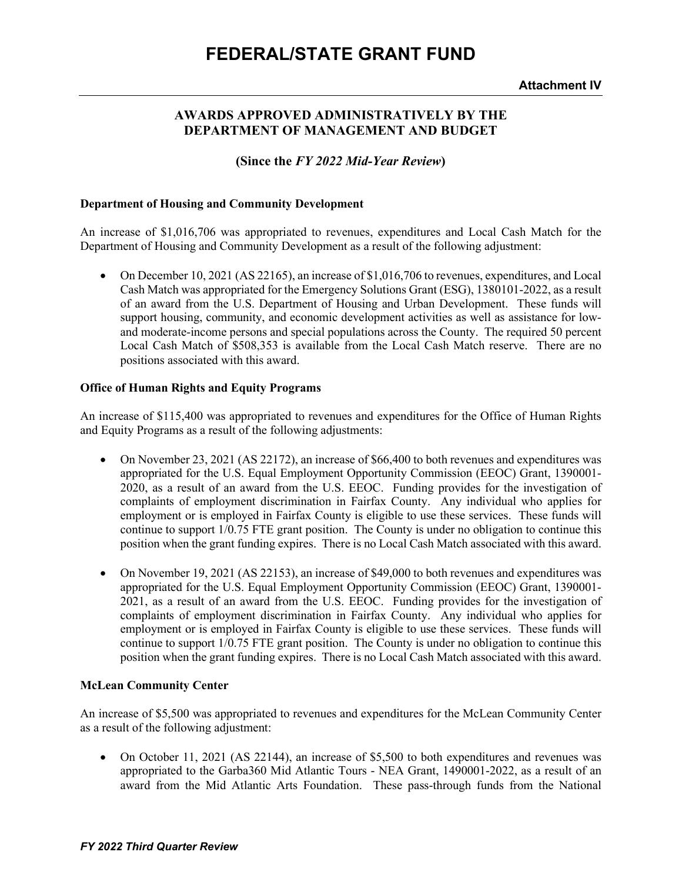### **AWARDS APPROVED ADMINISTRATIVELY BY THE DEPARTMENT OF MANAGEMENT AND BUDGET**

**(Since the** *FY 2022 Mid-Year Review***)**

#### **Department of Housing and Community Development**

An increase of \$1,016,706 was appropriated to revenues, expenditures and Local Cash Match for the Department of Housing and Community Development as a result of the following adjustment:

• On December 10, 2021 (AS 22165), an increase of \$1,016,706 to revenues, expenditures, and Local Cash Match was appropriated for the Emergency Solutions Grant (ESG), 1380101-2022, as a result of an award from the U.S. Department of Housing and Urban Development. These funds will support housing, community, and economic development activities as well as assistance for lowand moderate-income persons and special populations across the County. The required 50 percent Local Cash Match of \$508,353 is available from the Local Cash Match reserve. There are no positions associated with this award.

#### **Office of Human Rights and Equity Programs**

An increase of \$115,400 was appropriated to revenues and expenditures for the Office of Human Rights and Equity Programs as a result of the following adjustments:

- On November 23, 2021 (AS 22172), an increase of \$66,400 to both revenues and expenditures was appropriated for the U.S. Equal Employment Opportunity Commission (EEOC) Grant, 1390001- 2020, as a result of an award from the U.S. EEOC. Funding provides for the investigation of complaints of employment discrimination in Fairfax County. Any individual who applies for employment or is employed in Fairfax County is eligible to use these services. These funds will continue to support 1/0.75 FTE grant position. The County is under no obligation to continue this position when the grant funding expires. There is no Local Cash Match associated with this award.
- On November 19, 2021 (AS 22153), an increase of \$49,000 to both revenues and expenditures was appropriated for the U.S. Equal Employment Opportunity Commission (EEOC) Grant, 1390001- 2021, as a result of an award from the U.S. EEOC. Funding provides for the investigation of complaints of employment discrimination in Fairfax County. Any individual who applies for employment or is employed in Fairfax County is eligible to use these services. These funds will continue to support 1/0.75 FTE grant position. The County is under no obligation to continue this position when the grant funding expires. There is no Local Cash Match associated with this award.

### **McLean Community Center**

An increase of \$5,500 was appropriated to revenues and expenditures for the McLean Community Center as a result of the following adjustment:

• On October 11, 2021 (AS 22144), an increase of \$5,500 to both expenditures and revenues was appropriated to the Garba360 Mid Atlantic Tours - NEA Grant, 1490001-2022, as a result of an award from the Mid Atlantic Arts Foundation. These pass-through funds from the National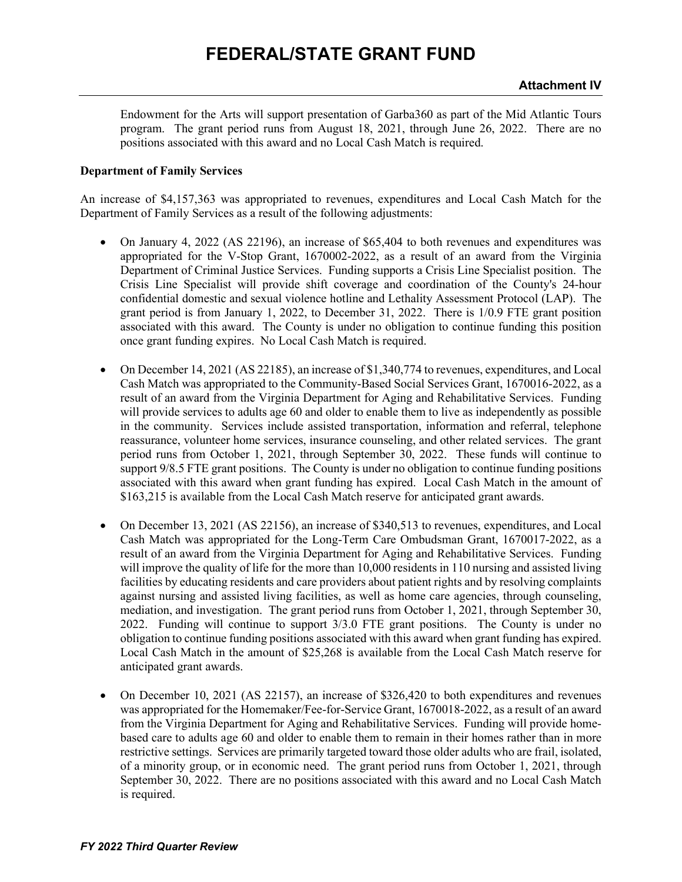Endowment for the Arts will support presentation of Garba360 as part of the Mid Atlantic Tours program. The grant period runs from August 18, 2021, through June 26, 2022. There are no positions associated with this award and no Local Cash Match is required.

#### **Department of Family Services**

An increase of \$4,157,363 was appropriated to revenues, expenditures and Local Cash Match for the Department of Family Services as a result of the following adjustments:

- On January 4, 2022 (AS 22196), an increase of \$65,404 to both revenues and expenditures was appropriated for the V-Stop Grant, 1670002-2022, as a result of an award from the Virginia Department of Criminal Justice Services. Funding supports a Crisis Line Specialist position. The Crisis Line Specialist will provide shift coverage and coordination of the County's 24-hour confidential domestic and sexual violence hotline and Lethality Assessment Protocol (LAP). The grant period is from January 1, 2022, to December 31, 2022. There is 1/0.9 FTE grant position associated with this award. The County is under no obligation to continue funding this position once grant funding expires. No Local Cash Match is required.
- On December 14, 2021 (AS 22185), an increase of \$1,340,774 to revenues, expenditures, and Local Cash Match was appropriated to the Community-Based Social Services Grant, 1670016-2022, as a result of an award from the Virginia Department for Aging and Rehabilitative Services. Funding will provide services to adults age 60 and older to enable them to live as independently as possible in the community. Services include assisted transportation, information and referral, telephone reassurance, volunteer home services, insurance counseling, and other related services. The grant period runs from October 1, 2021, through September 30, 2022. These funds will continue to support 9/8.5 FTE grant positions. The County is under no obligation to continue funding positions associated with this award when grant funding has expired. Local Cash Match in the amount of \$163,215 is available from the Local Cash Match reserve for anticipated grant awards.
- On December 13, 2021 (AS 22156), an increase of \$340,513 to revenues, expenditures, and Local Cash Match was appropriated for the Long-Term Care Ombudsman Grant, 1670017-2022, as a result of an award from the Virginia Department for Aging and Rehabilitative Services. Funding will improve the quality of life for the more than 10,000 residents in 110 nursing and assisted living facilities by educating residents and care providers about patient rights and by resolving complaints against nursing and assisted living facilities, as well as home care agencies, through counseling, mediation, and investigation. The grant period runs from October 1, 2021, through September 30, 2022. Funding will continue to support 3/3.0 FTE grant positions. The County is under no obligation to continue funding positions associated with this award when grant funding has expired. Local Cash Match in the amount of \$25,268 is available from the Local Cash Match reserve for anticipated grant awards.
- On December 10, 2021 (AS 22157), an increase of \$326,420 to both expenditures and revenues was appropriated for the Homemaker/Fee-for-Service Grant, 1670018-2022, as a result of an award from the Virginia Department for Aging and Rehabilitative Services. Funding will provide homebased care to adults age 60 and older to enable them to remain in their homes rather than in more restrictive settings. Services are primarily targeted toward those older adults who are frail, isolated, of a minority group, or in economic need. The grant period runs from October 1, 2021, through September 30, 2022. There are no positions associated with this award and no Local Cash Match is required.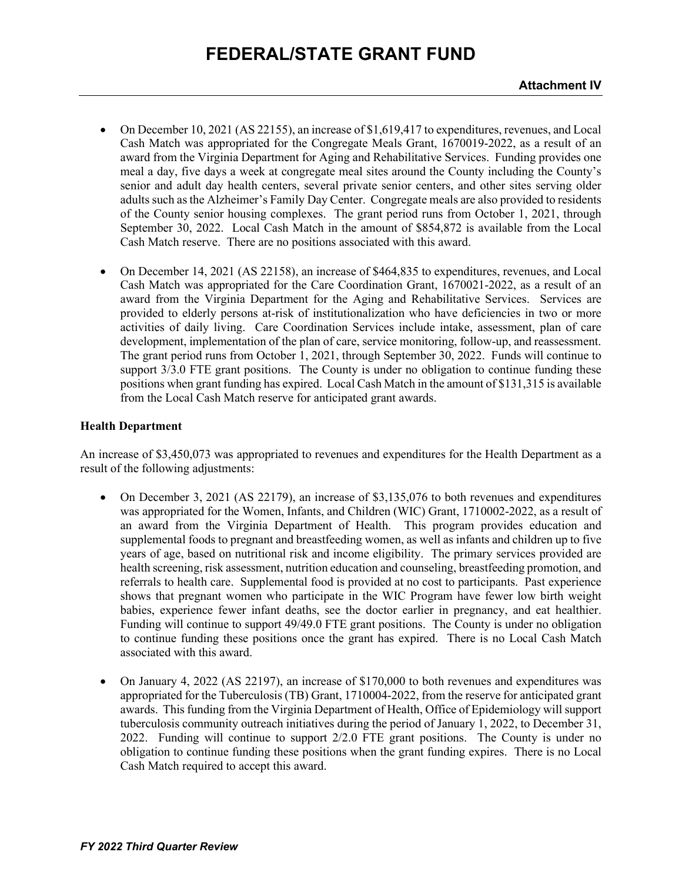- On December 10, 2021 (AS 22155), an increase of \$1,619,417 to expenditures, revenues, and Local Cash Match was appropriated for the Congregate Meals Grant, 1670019-2022, as a result of an award from the Virginia Department for Aging and Rehabilitative Services. Funding provides one meal a day, five days a week at congregate meal sites around the County including the County's senior and adult day health centers, several private senior centers, and other sites serving older adults such as the Alzheimer's Family Day Center. Congregate meals are also provided to residents of the County senior housing complexes. The grant period runs from October 1, 2021, through September 30, 2022. Local Cash Match in the amount of \$854,872 is available from the Local Cash Match reserve. There are no positions associated with this award.
- On December 14, 2021 (AS 22158), an increase of \$464,835 to expenditures, revenues, and Local Cash Match was appropriated for the Care Coordination Grant, 1670021-2022, as a result of an award from the Virginia Department for the Aging and Rehabilitative Services. Services are provided to elderly persons at-risk of institutionalization who have deficiencies in two or more activities of daily living. Care Coordination Services include intake, assessment, plan of care development, implementation of the plan of care, service monitoring, follow-up, and reassessment. The grant period runs from October 1, 2021, through September 30, 2022. Funds will continue to support 3/3.0 FTE grant positions. The County is under no obligation to continue funding these positions when grant funding has expired. Local Cash Match in the amount of \$131,315 is available from the Local Cash Match reserve for anticipated grant awards.

#### **Health Department**

An increase of \$3,450,073 was appropriated to revenues and expenditures for the Health Department as a result of the following adjustments:

- On December 3, 2021 (AS 22179), an increase of \$3,135,076 to both revenues and expenditures was appropriated for the Women, Infants, and Children (WIC) Grant, 1710002-2022, as a result of an award from the Virginia Department of Health. This program provides education and supplemental foods to pregnant and breastfeeding women, as well as infants and children up to five years of age, based on nutritional risk and income eligibility. The primary services provided are health screening, risk assessment, nutrition education and counseling, breastfeeding promotion, and referrals to health care. Supplemental food is provided at no cost to participants. Past experience shows that pregnant women who participate in the WIC Program have fewer low birth weight babies, experience fewer infant deaths, see the doctor earlier in pregnancy, and eat healthier. Funding will continue to support 49/49.0 FTE grant positions. The County is under no obligation to continue funding these positions once the grant has expired. There is no Local Cash Match associated with this award.
- On January 4, 2022 (AS 22197), an increase of \$170,000 to both revenues and expenditures was appropriated for the Tuberculosis (TB) Grant, 1710004-2022, from the reserve for anticipated grant awards. This funding from the Virginia Department of Health, Office of Epidemiology will support tuberculosis community outreach initiatives during the period of January 1, 2022, to December 31, 2022. Funding will continue to support 2/2.0 FTE grant positions. The County is under no obligation to continue funding these positions when the grant funding expires. There is no Local Cash Match required to accept this award.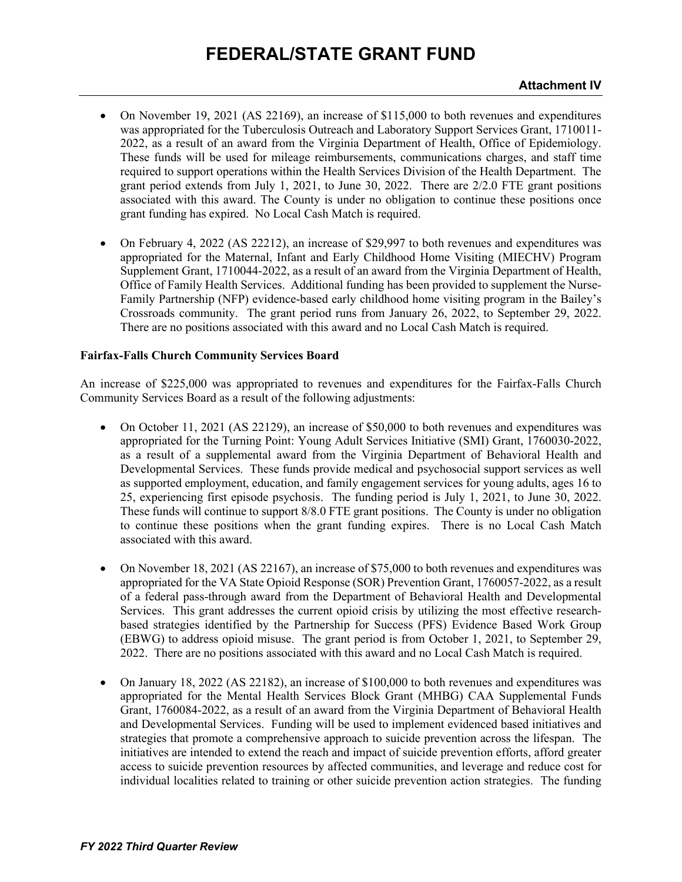- On November 19, 2021 (AS 22169), an increase of \$115,000 to both revenues and expenditures was appropriated for the Tuberculosis Outreach and Laboratory Support Services Grant, 1710011- 2022, as a result of an award from the Virginia Department of Health, Office of Epidemiology. These funds will be used for mileage reimbursements, communications charges, and staff time required to support operations within the Health Services Division of the Health Department. The grant period extends from July 1, 2021, to June 30, 2022. There are 2/2.0 FTE grant positions associated with this award. The County is under no obligation to continue these positions once grant funding has expired. No Local Cash Match is required.
- On February 4, 2022 (AS 22212), an increase of \$29,997 to both revenues and expenditures was appropriated for the Maternal, Infant and Early Childhood Home Visiting (MIECHV) Program Supplement Grant, 1710044-2022, as a result of an award from the Virginia Department of Health, Office of Family Health Services. Additional funding has been provided to supplement the Nurse-Family Partnership (NFP) evidence-based early childhood home visiting program in the Bailey's Crossroads community. The grant period runs from January 26, 2022, to September 29, 2022. There are no positions associated with this award and no Local Cash Match is required.

#### **Fairfax-Falls Church Community Services Board**

An increase of \$225,000 was appropriated to revenues and expenditures for the Fairfax-Falls Church Community Services Board as a result of the following adjustments:

- On October 11, 2021 (AS 22129), an increase of \$50,000 to both revenues and expenditures was appropriated for the Turning Point: Young Adult Services Initiative (SMI) Grant, 1760030-2022, as a result of a supplemental award from the Virginia Department of Behavioral Health and Developmental Services. These funds provide medical and psychosocial support services as well as supported employment, education, and family engagement services for young adults, ages 16 to 25, experiencing first episode psychosis. The funding period is July 1, 2021, to June 30, 2022. These funds will continue to support 8/8.0 FTE grant positions. The County is under no obligation to continue these positions when the grant funding expires. There is no Local Cash Match associated with this award.
- On November 18, 2021 (AS 22167), an increase of \$75,000 to both revenues and expenditures was appropriated for the VA State Opioid Response (SOR) Prevention Grant, 1760057-2022, as a result of a federal pass-through award from the Department of Behavioral Health and Developmental Services. This grant addresses the current opioid crisis by utilizing the most effective researchbased strategies identified by the Partnership for Success (PFS) Evidence Based Work Group (EBWG) to address opioid misuse. The grant period is from October 1, 2021, to September 29, 2022. There are no positions associated with this award and no Local Cash Match is required.
- On January 18, 2022 (AS 22182), an increase of \$100,000 to both revenues and expenditures was appropriated for the Mental Health Services Block Grant (MHBG) CAA Supplemental Funds Grant, 1760084-2022, as a result of an award from the Virginia Department of Behavioral Health and Developmental Services. Funding will be used to implement evidenced based initiatives and strategies that promote a comprehensive approach to suicide prevention across the lifespan. The initiatives are intended to extend the reach and impact of suicide prevention efforts, afford greater access to suicide prevention resources by affected communities, and leverage and reduce cost for individual localities related to training or other suicide prevention action strategies. The funding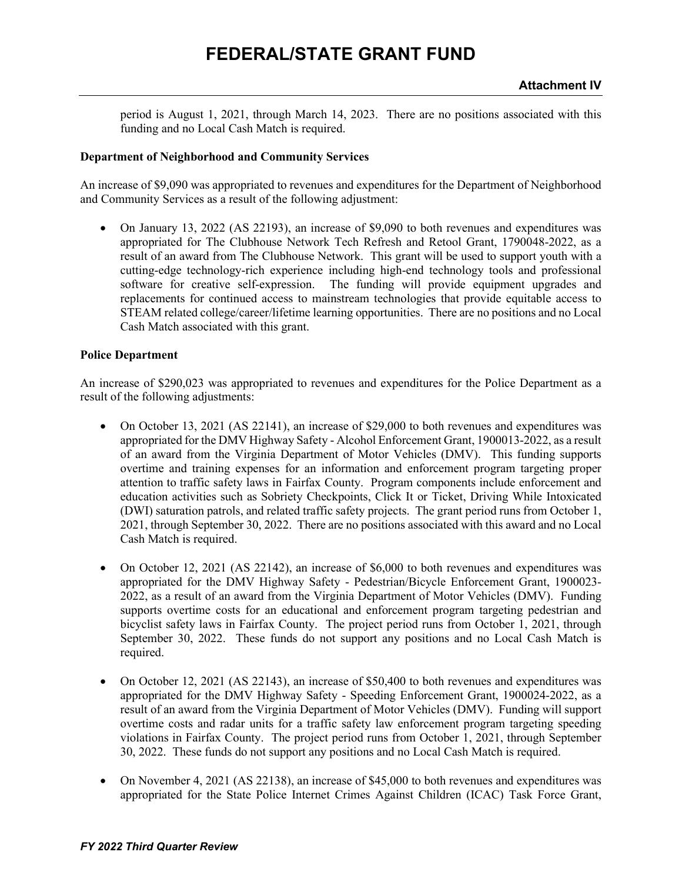period is August 1, 2021, through March 14, 2023. There are no positions associated with this funding and no Local Cash Match is required.

#### **Department of Neighborhood and Community Services**

An increase of \$9,090 was appropriated to revenues and expenditures for the Department of Neighborhood and Community Services as a result of the following adjustment:

• On January 13, 2022 (AS 22193), an increase of \$9,090 to both revenues and expenditures was appropriated for The Clubhouse Network Tech Refresh and Retool Grant, 1790048-2022, as a result of an award from The Clubhouse Network. This grant will be used to support youth with a cutting-edge technology-rich experience including high-end technology tools and professional software for creative self-expression. The funding will provide equipment upgrades and replacements for continued access to mainstream technologies that provide equitable access to STEAM related college/career/lifetime learning opportunities. There are no positions and no Local Cash Match associated with this grant.

#### **Police Department**

An increase of \$290,023 was appropriated to revenues and expenditures for the Police Department as a result of the following adjustments:

- On October 13, 2021 (AS 22141), an increase of \$29,000 to both revenues and expenditures was appropriated for the DMV Highway Safety - Alcohol Enforcement Grant, 1900013-2022, as a result of an award from the Virginia Department of Motor Vehicles (DMV). This funding supports overtime and training expenses for an information and enforcement program targeting proper attention to traffic safety laws in Fairfax County. Program components include enforcement and education activities such as Sobriety Checkpoints, Click It or Ticket, Driving While Intoxicated (DWI) saturation patrols, and related traffic safety projects. The grant period runs from October 1, 2021, through September 30, 2022. There are no positions associated with this award and no Local Cash Match is required.
- On October 12, 2021 (AS 22142), an increase of \$6,000 to both revenues and expenditures was appropriated for the DMV Highway Safety - Pedestrian/Bicycle Enforcement Grant, 1900023- 2022, as a result of an award from the Virginia Department of Motor Vehicles (DMV). Funding supports overtime costs for an educational and enforcement program targeting pedestrian and bicyclist safety laws in Fairfax County. The project period runs from October 1, 2021, through September 30, 2022. These funds do not support any positions and no Local Cash Match is required.
- On October 12, 2021 (AS 22143), an increase of \$50,400 to both revenues and expenditures was appropriated for the DMV Highway Safety - Speeding Enforcement Grant, 1900024-2022, as a result of an award from the Virginia Department of Motor Vehicles (DMV). Funding will support overtime costs and radar units for a traffic safety law enforcement program targeting speeding violations in Fairfax County. The project period runs from October 1, 2021, through September 30, 2022. These funds do not support any positions and no Local Cash Match is required.
- On November 4, 2021 (AS 22138), an increase of \$45,000 to both revenues and expenditures was appropriated for the State Police Internet Crimes Against Children (ICAC) Task Force Grant,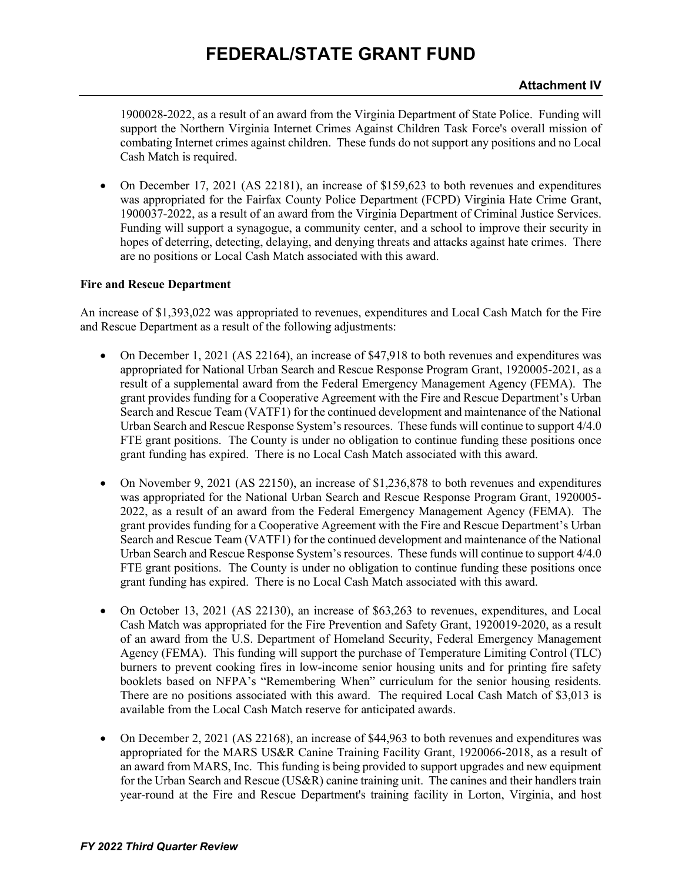1900028-2022, as a result of an award from the Virginia Department of State Police. Funding will support the Northern Virginia Internet Crimes Against Children Task Force's overall mission of combating Internet crimes against children. These funds do not support any positions and no Local Cash Match is required.

• On December 17, 2021 (AS 22181), an increase of \$159,623 to both revenues and expenditures was appropriated for the Fairfax County Police Department (FCPD) Virginia Hate Crime Grant, 1900037-2022, as a result of an award from the Virginia Department of Criminal Justice Services. Funding will support a synagogue, a community center, and a school to improve their security in hopes of deterring, detecting, delaying, and denying threats and attacks against hate crimes. There are no positions or Local Cash Match associated with this award.

### **Fire and Rescue Department**

An increase of \$1,393,022 was appropriated to revenues, expenditures and Local Cash Match for the Fire and Rescue Department as a result of the following adjustments:

- On December 1, 2021 (AS 22164), an increase of \$47,918 to both revenues and expenditures was appropriated for National Urban Search and Rescue Response Program Grant, 1920005-2021, as a result of a supplemental award from the Federal Emergency Management Agency (FEMA). The grant provides funding for a Cooperative Agreement with the Fire and Rescue Department's Urban Search and Rescue Team (VATF1) for the continued development and maintenance of the National Urban Search and Rescue Response System's resources. These funds will continue to support 4/4.0 FTE grant positions. The County is under no obligation to continue funding these positions once grant funding has expired. There is no Local Cash Match associated with this award.
- On November 9, 2021 (AS 22150), an increase of \$1,236,878 to both revenues and expenditures was appropriated for the National Urban Search and Rescue Response Program Grant, 1920005- 2022, as a result of an award from the Federal Emergency Management Agency (FEMA). The grant provides funding for a Cooperative Agreement with the Fire and Rescue Department's Urban Search and Rescue Team (VATF1) for the continued development and maintenance of the National Urban Search and Rescue Response System's resources. These funds will continue to support 4/4.0 FTE grant positions. The County is under no obligation to continue funding these positions once grant funding has expired. There is no Local Cash Match associated with this award.
- On October 13, 2021 (AS 22130), an increase of \$63,263 to revenues, expenditures, and Local Cash Match was appropriated for the Fire Prevention and Safety Grant, 1920019-2020, as a result of an award from the U.S. Department of Homeland Security, Federal Emergency Management Agency (FEMA). This funding will support the purchase of Temperature Limiting Control (TLC) burners to prevent cooking fires in low-income senior housing units and for printing fire safety booklets based on NFPA's "Remembering When" curriculum for the senior housing residents. There are no positions associated with this award. The required Local Cash Match of \$3,013 is available from the Local Cash Match reserve for anticipated awards.
- On December 2, 2021 (AS 22168), an increase of \$44,963 to both revenues and expenditures was appropriated for the MARS US&R Canine Training Facility Grant, 1920066-2018, as a result of an award from MARS, Inc. This funding is being provided to support upgrades and new equipment for the Urban Search and Rescue (US&R) canine training unit. The canines and their handlers train year-round at the Fire and Rescue Department's training facility in Lorton, Virginia, and host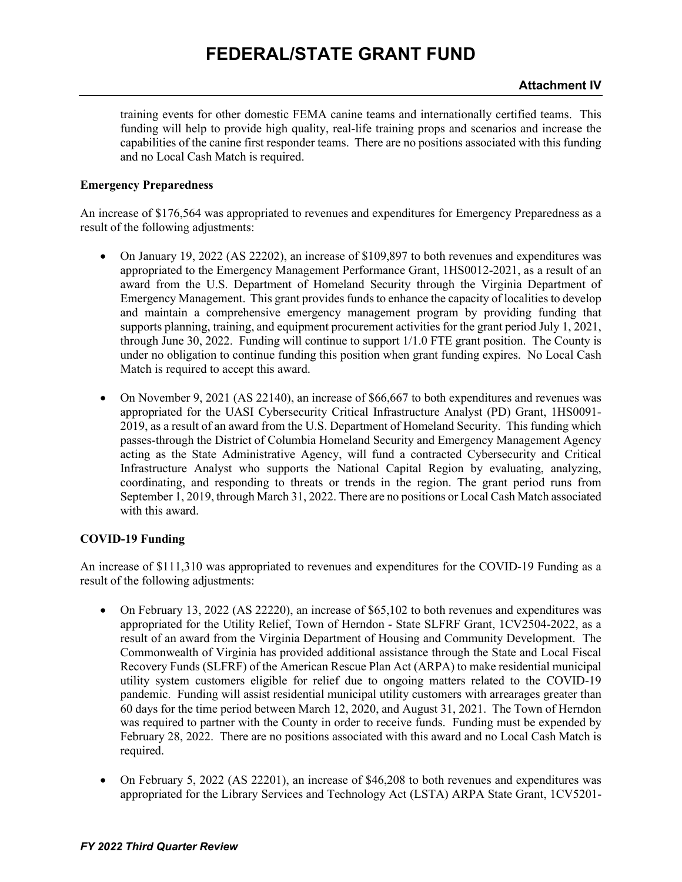training events for other domestic FEMA canine teams and internationally certified teams. This funding will help to provide high quality, real-life training props and scenarios and increase the capabilities of the canine first responder teams. There are no positions associated with this funding and no Local Cash Match is required.

#### **Emergency Preparedness**

An increase of \$176,564 was appropriated to revenues and expenditures for Emergency Preparedness as a result of the following adjustments:

- On January 19, 2022 (AS 22202), an increase of \$109,897 to both revenues and expenditures was appropriated to the Emergency Management Performance Grant, 1HS0012-2021, as a result of an award from the U.S. Department of Homeland Security through the Virginia Department of Emergency Management. This grant provides funds to enhance the capacity of localities to develop and maintain a comprehensive emergency management program by providing funding that supports planning, training, and equipment procurement activities for the grant period July 1, 2021, through June 30, 2022. Funding will continue to support 1/1.0 FTE grant position. The County is under no obligation to continue funding this position when grant funding expires. No Local Cash Match is required to accept this award.
- On November 9, 2021 (AS 22140), an increase of \$66,667 to both expenditures and revenues was appropriated for the UASI Cybersecurity Critical Infrastructure Analyst (PD) Grant, 1HS0091- 2019, as a result of an award from the U.S. Department of Homeland Security. This funding which passes-through the District of Columbia Homeland Security and Emergency Management Agency acting as the State Administrative Agency, will fund a contracted Cybersecurity and Critical Infrastructure Analyst who supports the National Capital Region by evaluating, analyzing, coordinating, and responding to threats or trends in the region. The grant period runs from September 1, 2019, through March 31, 2022. There are no positions or Local Cash Match associated with this award.

### **COVID-19 Funding**

An increase of \$111,310 was appropriated to revenues and expenditures for the COVID-19 Funding as a result of the following adjustments:

- On February 13, 2022 (AS 22220), an increase of \$65,102 to both revenues and expenditures was appropriated for the Utility Relief, Town of Herndon - State SLFRF Grant, 1CV2504-2022, as a result of an award from the Virginia Department of Housing and Community Development. The Commonwealth of Virginia has provided additional assistance through the State and Local Fiscal Recovery Funds (SLFRF) of the American Rescue Plan Act (ARPA) to make residential municipal utility system customers eligible for relief due to ongoing matters related to the COVID-19 pandemic. Funding will assist residential municipal utility customers with arrearages greater than 60 days for the time period between March 12, 2020, and August 31, 2021. The Town of Herndon was required to partner with the County in order to receive funds. Funding must be expended by February 28, 2022. There are no positions associated with this award and no Local Cash Match is required.
- On February 5, 2022 (AS 22201), an increase of \$46,208 to both revenues and expenditures was appropriated for the Library Services and Technology Act (LSTA) ARPA State Grant, 1CV5201-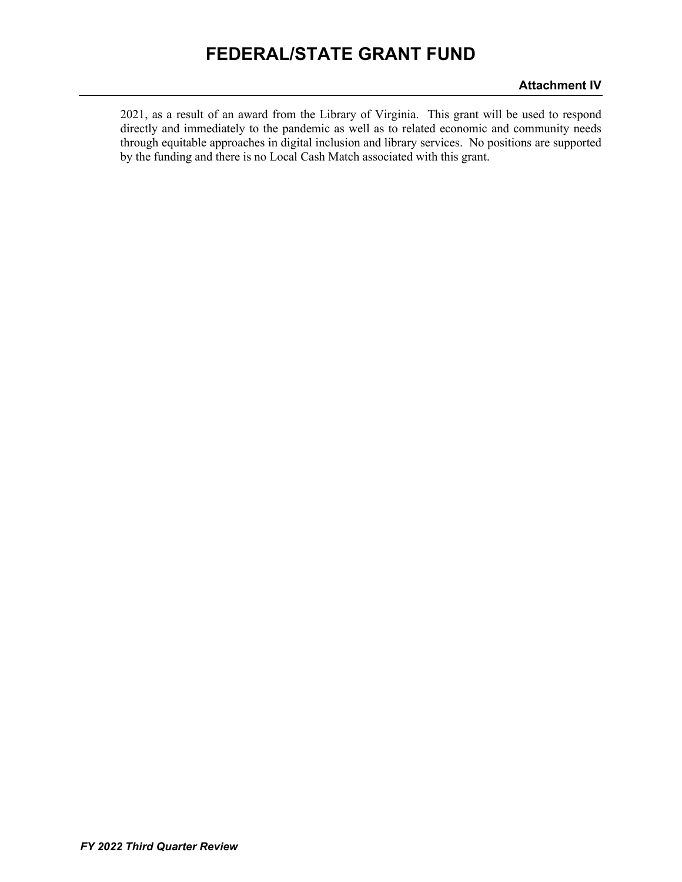2021, as a result of an award from the Library of Virginia. This grant will be used to respond directly and immediately to the pandemic as well as to related economic and community needs through equitable approaches in digital inclusion and library services. No positions are supported by the funding and there is no Local Cash Match associated with this grant.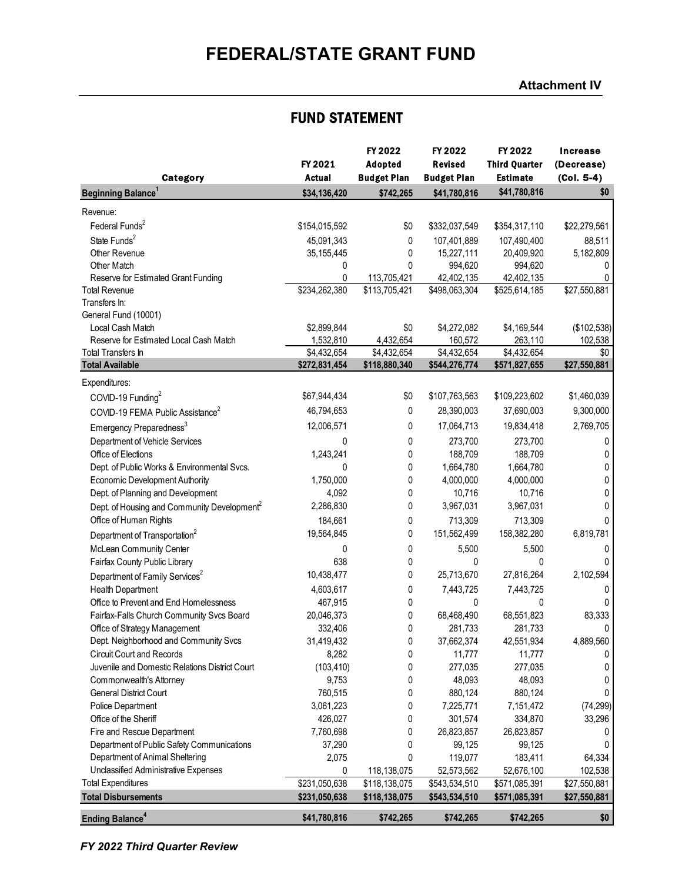### **Attachment IV**

### FUND STATEMENT

|                                                         |                   | FY 2022            | FY 2022               | FY 2022               | <b>Increase</b> |
|---------------------------------------------------------|-------------------|--------------------|-----------------------|-----------------------|-----------------|
|                                                         | FY 2021           | Adopted            | <b>Revised</b>        | <b>Third Quarter</b>  | (Decrease)      |
| Category                                                | <b>Actual</b>     | <b>Budget Plan</b> | <b>Budget Plan</b>    | <b>Estimate</b>       | $(Col. 5-4)$    |
| <b>Beginning Balance<sup>1</sup></b>                    | \$34,136,420      | \$742,265          | \$41,780,816          | \$41,780,816          | \$0             |
| Revenue:                                                |                   |                    |                       |                       |                 |
| Federal Funds <sup>2</sup>                              | \$154,015,592     | \$0                | \$332,037,549         | \$354,317,110         | \$22,279,561    |
| State Funds <sup>2</sup>                                |                   |                    |                       |                       |                 |
|                                                         | 45,091,343        | 0                  | 107,401,889           | 107,490,400           | 88,511          |
| Other Revenue<br>Other Match                            | 35, 155, 445<br>0 | 0<br>0             | 15,227,111<br>994,620 | 20,409,920<br>994,620 | 5,182,809<br>0  |
| Reserve for Estimated Grant Funding                     | 0                 | 113,705,421        | 42,402,135            | 42,402,135            | 0               |
| <b>Total Revenue</b>                                    | \$234,262,380     | \$113,705,421      | \$498,063,304         | \$525,614,185         | \$27,550,881    |
| Transfers In:                                           |                   |                    |                       |                       |                 |
| General Fund (10001)                                    |                   |                    |                       |                       |                 |
| Local Cash Match                                        | \$2,899,844       | \$0                | \$4,272,082           | \$4,169,544           | (\$102,538)     |
| Reserve for Estimated Local Cash Match                  | 1,532,810         | 4,432,654          | 160,572               | 263,110               | 102,538         |
| <b>Total Transfers In</b>                               | \$4,432,654       | \$4,432,654        | \$4,432,654           | \$4,432,654           | \$0             |
| <b>Total Available</b>                                  | \$272,831,454     | \$118,880,340      | \$544,276,774         | \$571,827,655         | \$27,550,881    |
| Expenditures:                                           |                   |                    |                       |                       |                 |
| COVID-19 Funding <sup>2</sup>                           | \$67,944,434      | \$0                | \$107,763,563         | \$109,223,602         | \$1,460,039     |
| COVID-19 FEMA Public Assistance <sup>2</sup>            | 46,794,653        | 0                  | 28,390,003            | 37,690,003            | 9,300,000       |
| Emergency Preparedness <sup>3</sup>                     | 12,006,571        | 0                  | 17,064,713            | 19,834,418            | 2,769,705       |
| Department of Vehicle Services                          | 0                 | 0                  | 273,700               | 273,700               | 0               |
| Office of Elections                                     | 1,243,241         | 0                  | 188,709               | 188,709               | 0               |
| Dept. of Public Works & Environmental Svcs.             | 0                 | 0                  | 1,664,780             | 1,664,780             | 0               |
| <b>Economic Development Authority</b>                   | 1,750,000         | 0                  | 4,000,000             | 4,000,000             | 0               |
| Dept. of Planning and Development                       | 4,092             | 0                  | 10,716                | 10,716                | 0               |
| Dept. of Housing and Community Development <sup>2</sup> | 2,286,830         | 0                  | 3,967,031             | 3,967,031             | 0               |
| Office of Human Rights                                  | 184,661           |                    | 713,309               | 713,309               | 0               |
|                                                         | 19,564,845        | 0<br>0             | 151,562,499           | 158,382,280           | 6,819,781       |
| Department of Transportation <sup>2</sup>               |                   |                    |                       |                       |                 |
| McLean Community Center                                 | 0                 | 0                  | 5,500                 | 5,500                 | 0               |
| Fairfax County Public Library                           | 638               | 0                  | 0                     | 0                     | 0               |
| Department of Family Services <sup>2</sup>              | 10,438,477        | 0                  | 25,713,670            | 27,816,264            | 2,102,594       |
| Health Department                                       | 4,603,617         | 0                  | 7,443,725             | 7,443,725             | 0               |
| Office to Prevent and End Homelessness                  | 467,915           | 0                  | 0                     | 0                     | $\Omega$        |
| Fairfax-Falls Church Community Svcs Board               | 20,046,373        | 0                  | 68,468,490            | 68,551,823            | 83,333          |
| Office of Strategy Management                           | 332,406           | 0                  | 281,733               | 281,733               | 0               |
| Dept. Neighborhood and Community Svcs                   | 31,419,432        | 0                  | 37,662,374            | 42,551,934            | 4,889,560       |
| <b>Circuit Court and Records</b>                        | 8,282             | 0                  | 11,777                | 11,777                | 0               |
| Juvenile and Domestic Relations District Court          | (103, 410)        | 0                  | 277,035               | 277,035               | 0               |
| Commonwealth's Attorney                                 | 9,753             | 0                  | 48,093                | 48,093                | 0               |
| <b>General District Court</b>                           | 760,515           | 0                  | 880,124               | 880,124               | 0               |
| <b>Police Department</b>                                | 3,061,223         | 0                  | 7,225,771             | 7,151,472             | (74, 299)       |
| Office of the Sheriff                                   | 426,027           | 0                  | 301,574               | 334,870               | 33,296          |
| Fire and Rescue Department                              | 7,760,698         | 0                  | 26,823,857            | 26,823,857            | 0               |
| Department of Public Safety Communications              | 37,290            | 0                  | 99,125                | 99,125                |                 |
| Department of Animal Sheltering                         | 2,075             | 0                  | 119,077               | 183,411               | 64,334          |
| Unclassified Administrative Expenses                    | 0                 | 118,138,075        | 52,573,562            | 52,676,100            | 102,538         |
| <b>Total Expenditures</b>                               | \$231,050,638     | \$118,138,075      | \$543,534,510         | \$571,085,391         | \$27,550,881    |
| <b>Total Disbursements</b>                              | \$231,050,638     | \$118,138,075      | \$543,534,510         | \$571,085,391         | \$27,550,881    |
| <b>Ending Balance<sup>4</sup></b>                       | \$41,780,816      | \$742,265          | \$742,265             | \$742,265             | \$0             |